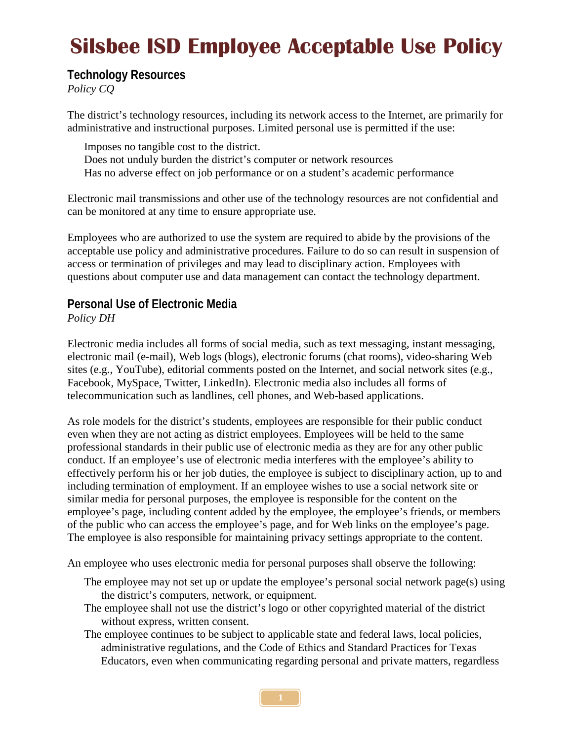# **Silsbee ISD Employee Acceptable Use Policy**

**Technology Resources**

*Policy CQ*

The district's technology resources, including its network access to the Internet, are primarily for administrative and instructional purposes. Limited personal use is permitted if the use:

Imposes no tangible cost to the district. Does not unduly burden the district's computer or network resources Has no adverse effect on job performance or on a student's academic performance

Electronic mail transmissions and other use of the technology resources are not confidential and can be monitored at any time to ensure appropriate use.

Employees who are authorized to use the system are required to abide by the provisions of the acceptable use policy and administrative procedures. Failure to do so can result in suspension of access or termination of privileges and may lead to disciplinary action. Employees with questions about computer use and data management can contact the technology department.

#### **Personal Use of Electronic Media** *Policy DH*

Electronic media includes all forms of social media, such as text messaging, instant messaging, electronic mail (e-mail), Web logs (blogs), electronic forums (chat rooms), video-sharing Web sites (e.g., YouTube), editorial comments posted on the Internet, and social network sites (e.g., Facebook, MySpace, Twitter, LinkedIn). Electronic media also includes all forms of telecommunication such as landlines, cell phones, and Web-based applications.

As role models for the district's students, employees are responsible for their public conduct even when they are not acting as district employees. Employees will be held to the same professional standards in their public use of electronic media as they are for any other public conduct. If an employee's use of electronic media interferes with the employee's ability to effectively perform his or her job duties, the employee is subject to disciplinary action, up to and including termination of employment. If an employee wishes to use a social network site or similar media for personal purposes, the employee is responsible for the content on the employee's page, including content added by the employee, the employee's friends, or members of the public who can access the employee's page, and for Web links on the employee's page. The employee is also responsible for maintaining privacy settings appropriate to the content.

An employee who uses electronic media for personal purposes shall observe the following:

- The employee may not set up or update the employee's personal social network page(s) using the district's computers, network, or equipment.
- The employee shall not use the district's logo or other copyrighted material of the district without express, written consent.
- The employee continues to be subject to applicable state and federal laws, local policies, administrative regulations, and the Code of Ethics and Standard Practices for Texas Educators, even when communicating regarding personal and private matters, regardless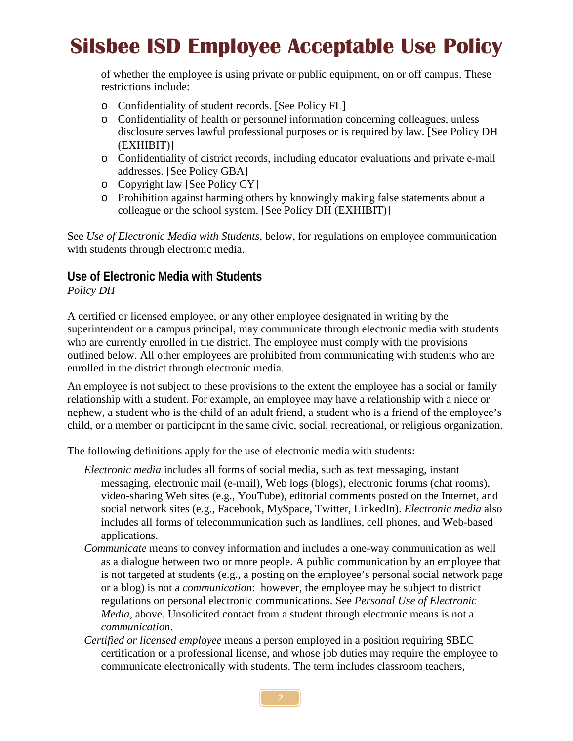# **Silsbee ISD Employee Acceptable Use Policy**

of whether the employee is using private or public equipment, on or off campus. These restrictions include:

- o Confidentiality of student records. [See Policy FL]
- o Confidentiality of health or personnel information concerning colleagues, unless disclosure serves lawful professional purposes or is required by law. [See Policy DH (EXHIBIT)]
- o Confidentiality of district records, including educator evaluations and private e-mail addresses. [See Policy GBA]
- o Copyright law [See Policy CY]
- o Prohibition against harming others by knowingly making false statements about a colleague or the school system. [See Policy DH (EXHIBIT)]

See *Use of Electronic Media with Students*, below, for regulations on employee communication with students through electronic media.

#### **Use of Electronic Media with Students** *Policy DH*

A certified or licensed employee, or any other employee designated in writing by the superintendent or a campus principal, may communicate through electronic media with students who are currently enrolled in the district. The employee must comply with the provisions outlined below. All other employees are prohibited from communicating with students who are enrolled in the district through electronic media.

An employee is not subject to these provisions to the extent the employee has a social or family relationship with a student. For example, an employee may have a relationship with a niece or nephew, a student who is the child of an adult friend, a student who is a friend of the employee's child, or a member or participant in the same civic, social, recreational, or religious organization.

The following definitions apply for the use of electronic media with students:

- *Electronic media* includes all forms of social media, such as text messaging, instant messaging, electronic mail (e-mail), Web logs (blogs), electronic forums (chat rooms), video-sharing Web sites (e.g., YouTube), editorial comments posted on the Internet, and social network sites (e.g., Facebook, MySpace, Twitter, LinkedIn). *Electronic media* also includes all forms of telecommunication such as landlines, cell phones, and Web-based applications.
- *Communicate* means to convey information and includes a one-way communication as well as a dialogue between two or more people. A public communication by an employee that is not targeted at students (e.g., a posting on the employee's personal social network page or a blog) is not a *communication*: however, the employee may be subject to district regulations on personal electronic communications. See *Personal Use of Electronic Media*, above. Unsolicited contact from a student through electronic means is not a *communication*.
- *Certified or licensed employee* means a person employed in a position requiring SBEC certification or a professional license, and whose job duties may require the employee to communicate electronically with students. The term includes classroom teachers,